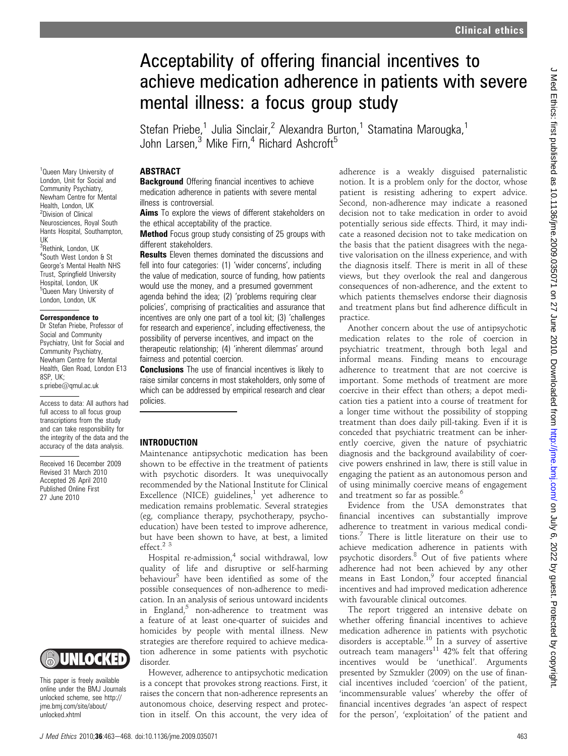# Acceptability of offering financial incentives to achieve medication adherence in patients with severe mental illness: a focus group study

Stefan Priebe,<sup>1</sup> Julia Sinclair,<sup>2</sup> Alexandra Burton,<sup>1</sup> Stamatina Marougka,<sup>1</sup> John Larsen, $3$  Mike Firn, $4$  Richard Ashcroft<sup>5</sup>

#### **ABSTRACT**

**Background** Offering financial incentives to achieve medication adherence in patients with severe mental illness is controversial.

Aims To explore the views of different stakeholders on the ethical acceptability of the practice.

**Method** Focus group study consisting of 25 groups with different stakeholders.

**Results** Eleven themes dominated the discussions and fell into four categories: (1) 'wider concerns', including the value of medication, source of funding, how patients would use the money, and a presumed government agenda behind the idea; (2) 'problems requiring clear policies', comprising of practicalities and assurance that incentives are only one part of a tool kit; (3) 'challenges for research and experience', including effectiveness, the possibility of perverse incentives, and impact on the therapeutic relationship; (4) 'inherent dilemmas' around fairness and potential coercion.

**Conclusions** The use of financial incentives is likely to raise similar concerns in most stakeholders, only some of which can be addressed by empirical research and clear policies.

#### INTRODUCTION

Maintenance antipsychotic medication has been shown to be effective in the treatment of patients with psychotic disorders. It was unequivocally recommended by the National Institute for Clinical Excellence (NICE) guidelines, $<sup>1</sup>$  yet adherence to</sup> medication remains problematic. Several strategies (eg, compliance therapy, psychotherapy, psychoeducation) have been tested to improve adherence, but have been shown to have, at best, a limited effect.<sup>23</sup>

Hospital re-admission,<sup>4</sup> social withdrawal, low quality of life and disruptive or self-harming behaviour<sup>5</sup> have been identified as some of the possible consequences of non-adherence to medication. In an analysis of serious untoward incidents in England, $5$  non-adherence to treatment was a feature of at least one-quarter of suicides and homicides by people with mental illness. New strategies are therefore required to achieve medication adherence in some patients with psychotic disorder.

However, adherence to antipsychotic medication is a concept that provokes strong reactions. First, it raises the concern that non-adherence represents an autonomous choice, deserving respect and protection in itself. On this account, the very idea of adherence is a weakly disguised paternalistic notion. It is a problem only for the doctor, whose patient is resisting adhering to expert advice. Second, non-adherence may indicate a reasoned decision not to take medication in order to avoid potentially serious side effects. Third, it may indicate a reasoned decision not to take medication on the basis that the patient disagrees with the negative valorisation on the illness experience, and with the diagnosis itself. There is merit in all of these views, but they overlook the real and dangerous consequences of non-adherence, and the extent to which patients themselves endorse their diagnosis and treatment plans but find adherence difficult in practice.

Another concern about the use of antipsychotic medication relates to the role of coercion in psychiatric treatment, through both legal and informal means. Finding means to encourage adherence to treatment that are not coercive is important. Some methods of treatment are more coercive in their effect than others; a depot medication ties a patient into a course of treatment for a longer time without the possibility of stopping treatment than does daily pill-taking. Even if it is conceded that psychiatric treatment can be inherently coercive, given the nature of psychiatric diagnosis and the background availability of coercive powers enshrined in law, there is still value in engaging the patient as an autonomous person and of using minimally coercive means of engagement and treatment so far as possible.<sup>6</sup>

Evidence from the USA demonstrates that financial incentives can substantially improve adherence to treatment in various medical conditions.<sup>7</sup> There is little literature on their use to achieve medication adherence in patients with psychotic disorders.<sup>8</sup> Out of five patients where adherence had not been achieved by any other means in East London,<sup>9</sup> four accepted financial incentives and had improved medication adherence with favourable clinical outcomes.

The report triggered an intensive debate on whether offering financial incentives to achieve medication adherence in patients with psychotic disorders is acceptable.<sup>10</sup> In a survey of assertive outreach team managers<sup>11</sup> 42% felt that offering incentives would be 'unethical'. Arguments presented by Szmukler (2009) on the use of financial incentives included 'coercion' of the patient, 'incommensurable values' whereby the offer of financial incentives degrades 'an aspect of respect for the person', 'exploitation' of the patient and

<sup>1</sup>Queen Mary University of London, Unit for Social and Community Psychiatry, Newham Centre for Mental Health, London, UK 2 Division of Clinical Neurosciences, Royal South Hants Hospital, Southampton, UK <sup>3</sup>Rethink, London, UK 4 South West London & St

George's Mental Health NHS Trust, Springfield University Hospital, London, UK 5 Queen Mary University of London, London, UK

#### Correspondence to

Dr Stefan Priebe, Professor of Social and Community Psychiatry, Unit for Social and Community Psychiatry, Newham Centre for Mental Health, Glen Road, London E13 8SP, UK; s.priebe@qmul.ac.uk

Access to data: All authors had full access to all focus group transcriptions from the study and can take responsibility for the integrity of the data and the accuracy of the data analysis.

Received 16 December 2009 Revised 31 March 2010 Accepted 26 April 2010 Published Online First 27 June 2010



This paper is freely available online under the BMJ Journals unlocked scheme, see http:// jme.bmj.com/site/about/ unlocked.xhtml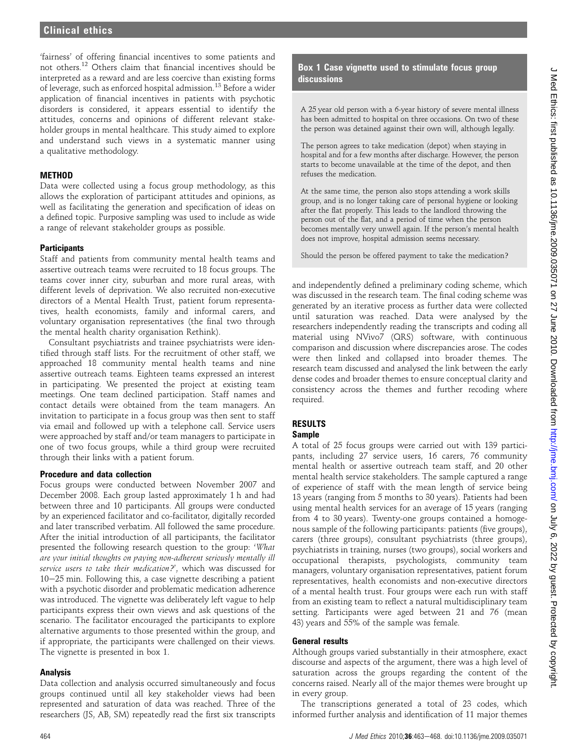'fairness' of offering financial incentives to some patients and not others.<sup>12</sup> Others claim that financial incentives should be interpreted as a reward and are less coercive than existing forms of leverage, such as enforced hospital admission.<sup>13</sup> Before a wider application of financial incentives in patients with psychotic disorders is considered, it appears essential to identify the attitudes, concerns and opinions of different relevant stakeholder groups in mental healthcare. This study aimed to explore and understand such views in a systematic manner using a qualitative methodology.

## **METHOD**

Data were collected using a focus group methodology, as this allows the exploration of participant attitudes and opinions, as well as facilitating the generation and specification of ideas on a defined topic. Purposive sampling was used to include as wide a range of relevant stakeholder groups as possible.

#### **Participants**

Staff and patients from community mental health teams and assertive outreach teams were recruited to 18 focus groups. The teams cover inner city, suburban and more rural areas, with different levels of deprivation. We also recruited non-executive directors of a Mental Health Trust, patient forum representatives, health economists, family and informal carers, and voluntary organisation representatives (the final two through the mental health charity organisation Rethink).

Consultant psychiatrists and trainee psychiatrists were identified through staff lists. For the recruitment of other staff, we approached 18 community mental health teams and nine assertive outreach teams. Eighteen teams expressed an interest in participating. We presented the project at existing team meetings. One team declined participation. Staff names and contact details were obtained from the team managers. An invitation to participate in a focus group was then sent to staff via email and followed up with a telephone call. Service users were approached by staff and/or team managers to participate in one of two focus groups, while a third group were recruited through their links with a patient forum.

#### Procedure and data collection

Focus groups were conducted between November 2007 and December 2008. Each group lasted approximately 1 h and had between three and 10 participants. All groups were conducted by an experienced facilitator and co-facilitator, digitally recorded and later transcribed verbatim. All followed the same procedure. After the initial introduction of all participants, the facilitator presented the following research question to the group: 'What are your initial thoughts on paying non-adherent seriously mentally ill service users to take their medication?', which was discussed for  $10-25$  min. Following this, a case vignette describing a patient with a psychotic disorder and problematic medication adherence was introduced. The vignette was deliberately left vague to help participants express their own views and ask questions of the scenario. The facilitator encouraged the participants to explore alternative arguments to those presented within the group, and if appropriate, the participants were challenged on their views. The vignette is presented in box 1.

#### Analysis

Data collection and analysis occurred simultaneously and focus groups continued until all key stakeholder views had been represented and saturation of data was reached. Three of the researchers (JS, AB, SM) repeatedly read the first six transcripts

## Box 1 Case vignette used to stimulate focus group discussions

A 25 year old person with a 6-year history of severe mental illness has been admitted to hospital on three occasions. On two of these the person was detained against their own will, although legally.

The person agrees to take medication (depot) when staying in hospital and for a few months after discharge. However, the person starts to become unavailable at the time of the depot, and then refuses the medication.

At the same time, the person also stops attending a work skills group, and is no longer taking care of personal hygiene or looking after the flat properly. This leads to the landlord throwing the person out of the flat, and a period of time when the person becomes mentally very unwell again. If the person's mental health does not improve, hospital admission seems necessary.

Should the person be offered payment to take the medication?

and independently defined a preliminary coding scheme, which was discussed in the research team. The final coding scheme was generated by an iterative process as further data were collected until saturation was reached. Data were analysed by the researchers independently reading the transcripts and coding all material using NVivo7 (QRS) software, with continuous comparison and discussion where discrepancies arose. The codes were then linked and collapsed into broader themes. The research team discussed and analysed the link between the early dense codes and broader themes to ensure conceptual clarity and consistency across the themes and further recoding where required.

#### RESULTS Sample

A total of 25 focus groups were carried out with 139 participants, including 27 service users, 16 carers, 76 community mental health or assertive outreach team staff, and 20 other mental health service stakeholders. The sample captured a range of experience of staff with the mean length of service being 13 years (ranging from 5 months to 30 years). Patients had been using mental health services for an average of 15 years (ranging from 4 to 30 years). Twenty-one groups contained a homogenous sample of the following participants: patients (five groups), carers (three groups), consultant psychiatrists (three groups), psychiatrists in training, nurses (two groups), social workers and occupational therapists, psychologists, community team managers, voluntary organisation representatives, patient forum representatives, health economists and non-executive directors of a mental health trust. Four groups were each run with staff from an existing team to reflect a natural multidisciplinary team setting. Participants were aged between 21 and 76 (mean 43) years and 55% of the sample was female.

## General results

Although groups varied substantially in their atmosphere, exact discourse and aspects of the argument, there was a high level of saturation across the groups regarding the content of the concerns raised. Nearly all of the major themes were brought up in every group.

The transcriptions generated a total of 23 codes, which informed further analysis and identification of 11 major themes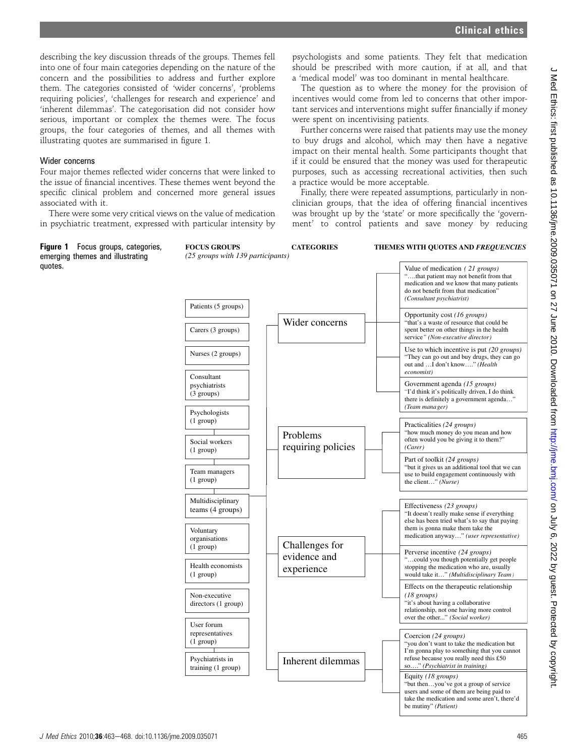describing the key discussion threads of the groups. Themes fell into one of four main categories depending on the nature of the concern and the possibilities to address and further explore them. The categories consisted of 'wider concerns', 'problems requiring policies', 'challenges for research and experience' and 'inherent dilemmas'. The categorisation did not consider how serious, important or complex the themes were. The focus groups, the four categories of themes, and all themes with illustrating quotes are summarised in figure 1.

#### Wider concerns

quotes.

Four major themes reflected wider concerns that were linked to the issue of financial incentives. These themes went beyond the specific clinical problem and concerned more general issues associated with it.

There were some very critical views on the value of medication in psychiatric treatment, expressed with particular intensity by

psychologists and some patients. They felt that medication should be prescribed with more caution, if at all, and that a 'medical model' was too dominant in mental healthcare.

The question as to where the money for the provision of incentives would come from led to concerns that other important services and interventions might suffer financially if money were spent on incentivising patients.

Further concerns were raised that patients may use the money to buy drugs and alcohol, which may then have a negative impact on their mental health. Some participants thought that if it could be ensured that the money was used for therapeutic purposes, such as accessing recreational activities, then such a practice would be more acceptable.

Finally, there were repeated assumptions, particularly in nonclinician groups, that the idea of offering financial incentives was brought up by the 'state' or more specifically the 'government' to control patients and save money by reducing

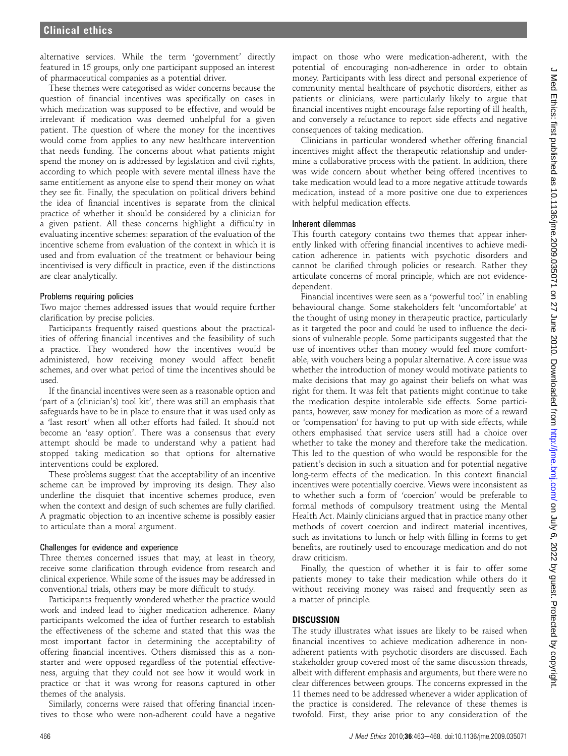alternative services. While the term 'government' directly featured in 15 groups, only one participant supposed an interest of pharmaceutical companies as a potential driver.

These themes were categorised as wider concerns because the question of financial incentives was specifically on cases in which medication was supposed to be effective, and would be irrelevant if medication was deemed unhelpful for a given patient. The question of where the money for the incentives would come from applies to any new healthcare intervention that needs funding. The concerns about what patients might spend the money on is addressed by legislation and civil rights, according to which people with severe mental illness have the same entitlement as anyone else to spend their money on what they see fit. Finally, the speculation on political drivers behind the idea of financial incentives is separate from the clinical practice of whether it should be considered by a clinician for a given patient. All these concerns highlight a difficulty in evaluating incentive schemes: separation of the evaluation of the incentive scheme from evaluation of the context in which it is used and from evaluation of the treatment or behaviour being incentivised is very difficult in practice, even if the distinctions are clear analytically.

### Problems requiring policies

Two major themes addressed issues that would require further clarification by precise policies.

Participants frequently raised questions about the practicalities of offering financial incentives and the feasibility of such a practice. They wondered how the incentives would be administered, how receiving money would affect benefit schemes, and over what period of time the incentives should be used.

If the financial incentives were seen as a reasonable option and 'part of a (clinician's) tool kit', there was still an emphasis that safeguards have to be in place to ensure that it was used only as a 'last resort' when all other efforts had failed. It should not become an 'easy option'. There was a consensus that every attempt should be made to understand why a patient had stopped taking medication so that options for alternative interventions could be explored.

These problems suggest that the acceptability of an incentive scheme can be improved by improving its design. They also underline the disquiet that incentive schemes produce, even when the context and design of such schemes are fully clarified. A pragmatic objection to an incentive scheme is possibly easier to articulate than a moral argument.

#### Challenges for evidence and experience

Three themes concerned issues that may, at least in theory, receive some clarification through evidence from research and clinical experience. While some of the issues may be addressed in conventional trials, others may be more difficult to study.

Participants frequently wondered whether the practice would work and indeed lead to higher medication adherence. Many participants welcomed the idea of further research to establish the effectiveness of the scheme and stated that this was the most important factor in determining the acceptability of offering financial incentives. Others dismissed this as a nonstarter and were opposed regardless of the potential effectiveness, arguing that they could not see how it would work in practice or that it was wrong for reasons captured in other themes of the analysis.

Similarly, concerns were raised that offering financial incentives to those who were non-adherent could have a negative

impact on those who were medication-adherent, with the potential of encouraging non-adherence in order to obtain money. Participants with less direct and personal experience of community mental healthcare of psychotic disorders, either as patients or clinicians, were particularly likely to argue that financial incentives might encourage false reporting of ill health, and conversely a reluctance to report side effects and negative consequences of taking medication.

Clinicians in particular wondered whether offering financial incentives might affect the therapeutic relationship and undermine a collaborative process with the patient. In addition, there was wide concern about whether being offered incentives to take medication would lead to a more negative attitude towards medication, instead of a more positive one due to experiences with helpful medication effects.

#### Inherent dilemmas

This fourth category contains two themes that appear inherently linked with offering financial incentives to achieve medication adherence in patients with psychotic disorders and cannot be clarified through policies or research. Rather they articulate concerns of moral principle, which are not evidencedependent.

Financial incentives were seen as a 'powerful tool' in enabling behavioural change. Some stakeholders felt 'uncomfortable' at the thought of using money in therapeutic practice, particularly as it targeted the poor and could be used to influence the decisions of vulnerable people. Some participants suggested that the use of incentives other than money would feel more comfortable, with vouchers being a popular alternative. A core issue was whether the introduction of money would motivate patients to make decisions that may go against their beliefs on what was right for them. It was felt that patients might continue to take the medication despite intolerable side effects. Some participants, however, saw money for medication as more of a reward or 'compensation' for having to put up with side effects, while others emphasised that service users still had a choice over whether to take the money and therefore take the medication. This led to the question of who would be responsible for the patient's decision in such a situation and for potential negative long-term effects of the medication. In this context financial incentives were potentially coercive. Views were inconsistent as to whether such a form of 'coercion' would be preferable to formal methods of compulsory treatment using the Mental Health Act. Mainly clinicians argued that in practice many other methods of covert coercion and indirect material incentives, such as invitations to lunch or help with filling in forms to get benefits, are routinely used to encourage medication and do not draw criticism.

Finally, the question of whether it is fair to offer some patients money to take their medication while others do it without receiving money was raised and frequently seen as a matter of principle.

#### **DISCUSSION**

The study illustrates what issues are likely to be raised when financial incentives to achieve medication adherence in nonadherent patients with psychotic disorders are discussed. Each stakeholder group covered most of the same discussion threads, albeit with different emphasis and arguments, but there were no clear differences between groups. The concerns expressed in the 11 themes need to be addressed whenever a wider application of the practice is considered. The relevance of these themes is twofold. First, they arise prior to any consideration of the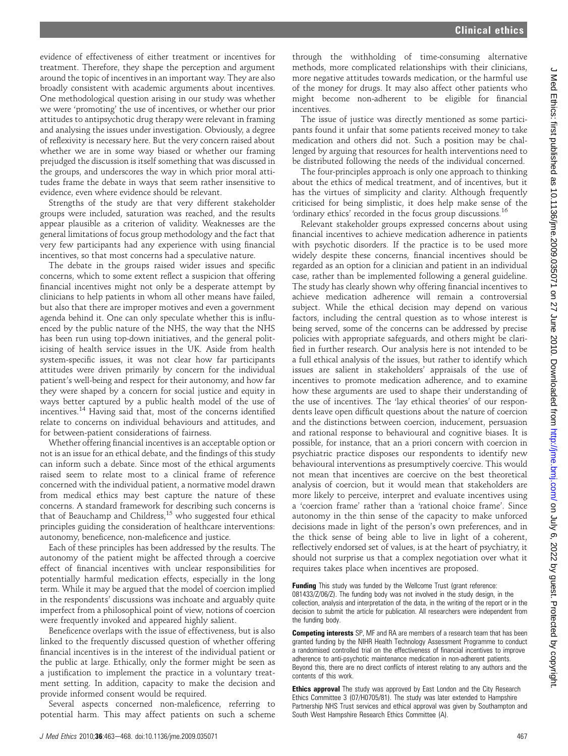evidence of effectiveness of either treatment or incentives for treatment. Therefore, they shape the perception and argument around the topic of incentives in an important way. They are also broadly consistent with academic arguments about incentives. One methodological question arising in our study was whether we were 'promoting' the use of incentives, or whether our prior attitudes to antipsychotic drug therapy were relevant in framing and analysing the issues under investigation. Obviously, a degree of reflexivity is necessary here. But the very concern raised about whether we are in some way biased or whether our framing prejudged the discussion is itself something that was discussed in the groups, and underscores the way in which prior moral attitudes frame the debate in ways that seem rather insensitive to evidence, even where evidence should be relevant.

Strengths of the study are that very different stakeholder groups were included, saturation was reached, and the results appear plausible as a criterion of validity. Weaknesses are the general limitations of focus group methodology and the fact that very few participants had any experience with using financial incentives, so that most concerns had a speculative nature.

The debate in the groups raised wider issues and specific concerns, which to some extent reflect a suspicion that offering financial incentives might not only be a desperate attempt by clinicians to help patients in whom all other means have failed, but also that there are improper motives and even a government agenda behind it. One can only speculate whether this is influenced by the public nature of the NHS, the way that the NHS has been run using top-down initiatives, and the general politicising of health service issues in the UK. Aside from health system-specific issues, it was not clear how far participants attitudes were driven primarily by concern for the individual patient's well-being and respect for their autonomy, and how far they were shaped by a concern for social justice and equity in ways better captured by a public health model of the use of incentives.<sup>14</sup> Having said that, most of the concerns identified relate to concerns on individual behaviours and attitudes, and for between-patient considerations of fairness.

Whether offering financial incentives is an acceptable option or not is an issue for an ethical debate, and the findings of this study can inform such a debate. Since most of the ethical arguments raised seem to relate most to a clinical frame of reference concerned with the individual patient, a normative model drawn from medical ethics may best capture the nature of these concerns. A standard framework for describing such concerns is that of Beauchamp and Childress, $15$  who suggested four ethical principles guiding the consideration of healthcare interventions: autonomy, beneficence, non-maleficence and justice.

Each of these principles has been addressed by the results. The autonomy of the patient might be affected through a coercive effect of financial incentives with unclear responsibilities for potentially harmful medication effects, especially in the long term. While it may be argued that the model of coercion implied in the respondents' discussions was inchoate and arguably quite imperfect from a philosophical point of view, notions of coercion were frequently invoked and appeared highly salient.

Beneficence overlaps with the issue of effectiveness, but is also linked to the frequently discussed question of whether offering financial incentives is in the interest of the individual patient or the public at large. Ethically, only the former might be seen as a justification to implement the practice in a voluntary treatment setting. In addition, capacity to make the decision and provide informed consent would be required.

Several aspects concerned non-maleficence, referring to potential harm. This may affect patients on such a scheme

through the withholding of time-consuming alternative methods, more complicated relationships with their clinicians, more negative attitudes towards medication, or the harmful use of the money for drugs. It may also affect other patients who might become non-adherent to be eligible for financial incentives.

The issue of justice was directly mentioned as some participants found it unfair that some patients received money to take medication and others did not. Such a position may be challenged by arguing that resources for health interventions need to be distributed following the needs of the individual concerned.

The four-principles approach is only one approach to thinking about the ethics of medical treatment, and of incentives, but it has the virtues of simplicity and clarity. Although frequently criticised for being simplistic, it does help make sense of the 'ordinary ethics' recorded in the focus group discussions.<sup>16</sup>

Relevant stakeholder groups expressed concerns about using financial incentives to achieve medication adherence in patients with psychotic disorders. If the practice is to be used more widely despite these concerns, financial incentives should be regarded as an option for a clinician and patient in an individual case, rather than be implemented following a general guideline. The study has clearly shown why offering financial incentives to achieve medication adherence will remain a controversial subject. While the ethical decision may depend on various factors, including the central question as to whose interest is being served, some of the concerns can be addressed by precise policies with appropriate safeguards, and others might be clarified in further research. Our analysis here is not intended to be a full ethical analysis of the issues, but rather to identify which issues are salient in stakeholders' appraisals of the use of incentives to promote medication adherence, and to examine how these arguments are used to shape their understanding of the use of incentives. The 'lay ethical theories' of our respondents leave open difficult questions about the nature of coercion and the distinctions between coercion, inducement, persuasion and rational response to behavioural and cognitive biases. It is possible, for instance, that an a priori concern with coercion in psychiatric practice disposes our respondents to identify new behavioural interventions as presumptively coercive. This would not mean that incentives are coercive on the best theoretical analysis of coercion, but it would mean that stakeholders are more likely to perceive, interpret and evaluate incentives using a 'coercion frame' rather than a 'rational choice frame'. Since autonomy in the thin sense of the capacity to make unforced decisions made in light of the person's own preferences, and in the thick sense of being able to live in light of a coherent, reflectively endorsed set of values, is at the heart of psychiatry, it should not surprise us that a complex negotiation over what it requires takes place when incentives are proposed.

Funding This study was funded by the Wellcome Trust (grant reference: 081433/Z/06/Z). The funding body was not involved in the study design, in the collection, analysis and interpretation of the data, in the writing of the report or in the decision to submit the article for publication. All researchers were independent from the funding body.

Competing interests SP, MF and RA are members of a research team that has been granted funding by the NIHR Health Technology Assessment Programme to conduct a randomised controlled trial on the effectiveness of financial incentives to improve adherence to anti-psychotic maintenance medication in non-adherent patients. Beyond this, there are no direct conflicts of interest relating to any authors and the contents of this work.

Ethics approval The study was approved by East London and the City Research Ethics Committee 3 (07/H0705/81). The study was later extended to Hampshire Partnership NHS Trust services and ethical approval was given by Southampton and South West Hampshire Research Ethics Committee (A).